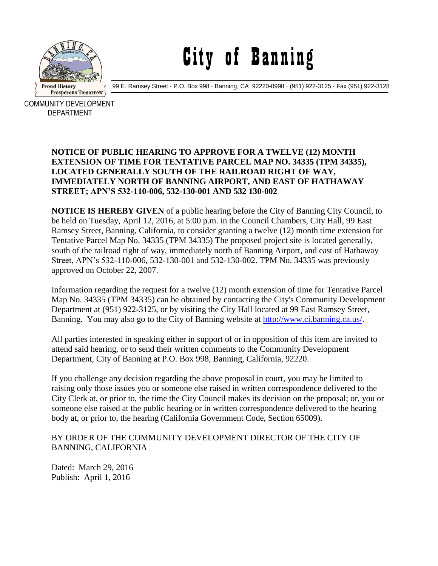

## City of Banning

99 E. Ramsey Street **·** P.O. Box 998 **·** Banning, CA 92220-0998 **·** (951) 922-3125 **·** Fax (951) 922-3128

COMMUNITY DEVELOPMENT DEPARTMENT

## **NOTICE OF PUBLIC HEARING TO APPROVE FOR A TWELVE (12) MONTH EXTENSION OF TIME FOR TENTATIVE PARCEL MAP NO. 34335 (TPM 34335), LOCATED GENERALLY SOUTH OF THE RAILROAD RIGHT OF WAY, IMMEDIATELY NORTH OF BANNING AIRPORT, AND EAST OF HATHAWAY STREET; APN'S 532-110-006, 532-130-001 AND 532 130-002**

**NOTICE IS HEREBY GIVEN** of a public hearing before the City of Banning City Council, to be held on Tuesday, April 12, 2016, at 5:00 p.m. in the Council Chambers, City Hall, 99 East Ramsey Street, Banning, California, to consider granting a twelve (12) month time extension for Tentative Parcel Map No. 34335 (TPM 34335) The proposed project site is located generally, south of the railroad right of way, immediately north of Banning Airport, and east of Hathaway Street, APN's 532-110-006, 532-130-001 and 532-130-002. TPM No. 34335 was previously approved on October 22, 2007.

Information regarding the request for a twelve (12) month extension of time for Tentative Parcel Map No. 34335 (TPM 34335) can be obtained by contacting the City's Community Development Department at (951) 922-3125, or by visiting the City Hall located at 99 East Ramsey Street, Banning. You may also go to the City of Banning website at [http://www.ci.banning.ca.us/.](http://www.ci.banning.ca.us/)

All parties interested in speaking either in support of or in opposition of this item are invited to attend said hearing, or to send their written comments to the Community Development Department, City of Banning at P.O. Box 998, Banning, California, 92220.

If you challenge any decision regarding the above proposal in court, you may be limited to raising only those issues you or someone else raised in written correspondence delivered to the City Clerk at, or prior to, the time the City Council makes its decision on the proposal; or, you or someone else raised at the public hearing or in written correspondence delivered to the hearing body at, or prior to, the hearing (California Government Code, Section 65009).

## BY ORDER OF THE COMMUNITY DEVELOPMENT DIRECTOR OF THE CITY OF BANNING, CALIFORNIA

Dated: March 29, 2016 Publish: April 1, 2016